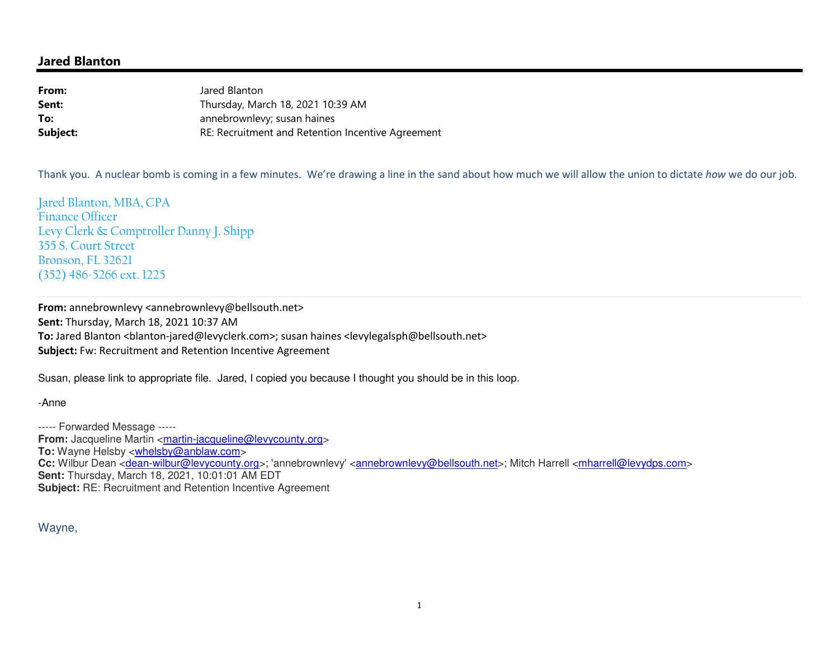## **Jared Blanton**

**From:** Jared Blanton Thursday, March 18, 2021 10:39 AM**Sent:To:** annebrownlevy; susan haines RE: Recruitment and Retention Incentive Agreement**Subject:**

Thank you. A nuclear bomb is coming in a few minutes. We're drawing a line in the sand about how much we will allow the union to dictate *how* we do our job.

Jared Blanton, MBA, CPA Finance Officer Levy Clerk & Comptroller Danny J. Shipp 355 S. Court Street Bronson, FL 32621 (352) 486-5266 ext. 1225

**From:** annebrownlevy <annebrownlevy@bellsouth.net> **Sent:** Thursday, March 18, 2021 10:37 AM To: Jared Blanton <br />blanton-jared@levyclerk.com>; susan haines <levylegalsph@bellsouth.net> **Subject:** Fw: Recruitment and Retention Incentive Agreement

Susan, please link to appropriate file. Jared, I copied you because I thought you should be in this loop.

-Anne

----- Forwarded Message ----- **From:** Jacqueline Martin <**martin-jacqueline@levycounty.org> To:** Wayne Helsby <whelsby@anblaw.com> Cc: Wilbur Dean <dean-wilbur@levycounty.org>; 'annebrownlevy' <annebrownlevy@bellsouth.net>; Mitch Harrell <mharrell@levydps.com> **Sent:** Thursday, March 18, 2021, 10:01:01 AM EDT **Subject:** RE: Recruitment and Retention Incentive Agreement

Wayne,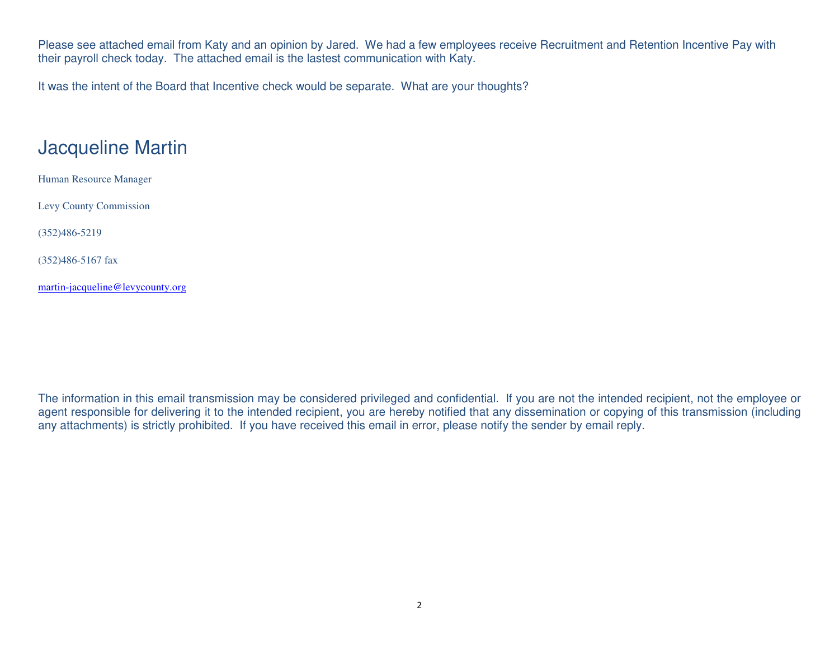Please see attached email from Katy and an opinion by Jared. We had a few employees receive Recruitment and Retention Incentive Pay with their payroll check today. The attached email is the lastest communication with Katy.

It was the intent of the Board that Incentive check would be separate. What are your thoughts?

## Jacqueline Martin

Human Resource Manager

Levy County Commission

(352)486-5219

(352)486-5167 fax

martin-jacqueline@levycounty.org

The information in this email transmission may be considered privileged and confidential. If you are not the intended recipient, not the employee or agent responsible for delivering it to the intended recipient, you are hereby notified that any dissemination or copying of this transmission (including any attachments) is strictly prohibited. If you have received this email in error, please notify the sender by email reply.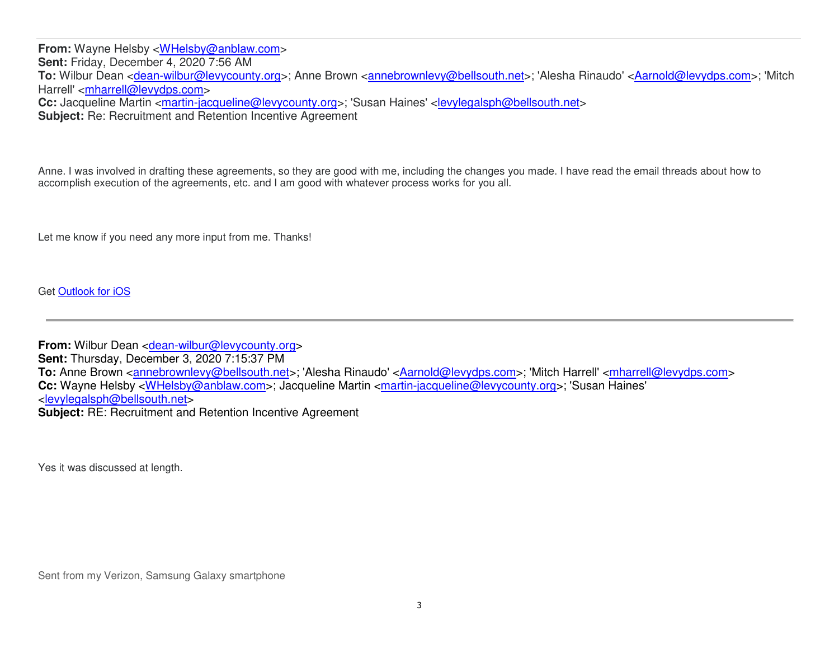**From:** Wayne Helsby <WHelsby@anblaw.com> **Sent:** Friday, December 4, 2020 7:56 AM To: Wilbur Dean <dean-wilbur@levycounty.org>; Anne Brown <annebrownlevy@bellsouth.net>; 'Alesha Rinaudo' <Aarnold@levydps.com>; 'Mitch Harrell' <mharrell@levydps.com> **Cc:** Jacqueline Martin <*martin-jacqueline@levycounty.org>*; 'Susan Haines' <levylegalsph@bellsouth.net> **Subject:** Re: Recruitment and Retention Incentive Agreement

Anne. I was involved in drafting these agreements, so they are good with me, including the changes you made. I have read the email threads about how to accomplish execution of the agreements, etc. and I am good with whatever process works for you all.

Let me know if you need any more input from me. Thanks!

Get Outlook for iOS

**From:** Wilbur Dean <dean-wilbur@levycounty.org> **Sent:** Thursday, December 3, 2020 7:15:37 PM **To:** Anne Brown <annebrownlevy@bellsouth.net>; 'Alesha Rinaudo' <Aarnold@levydps.com>; 'Mitch Harrell' <mharrell@levydps.com> **Cc:** Wayne Helsby <WHelsby@anblaw.com>; Jacqueline Martin <martin-jacqueline@levycounty.org>; 'Susan Haines' <levylegalsph@bellsouth.net> **Subject:** RE: Recruitment and Retention Incentive Agreement

Yes it was discussed at length.

Sent from my Verizon, Samsung Galaxy smartphone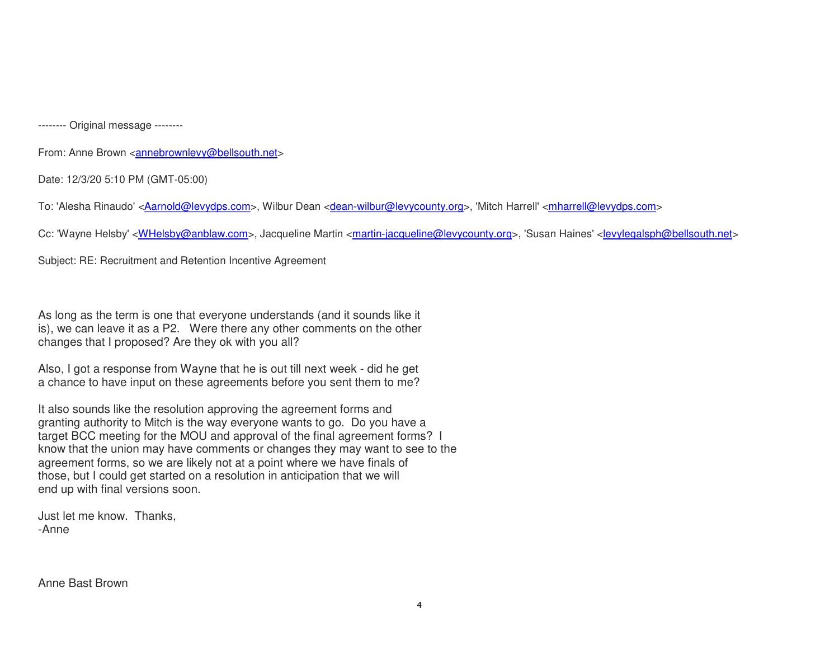-------- Original message --------

From: Anne Brown <annebrownlevy@bellsouth.net>

Date: 12/3/20 5:10 PM (GMT-05:00)

To: 'Alesha Rinaudo' <Aarnold@levydps.com>, Wilbur Dean <dean-wilbur@levycounty.org>, 'Mitch Harrell' <mharrell@levydps.com>

Cc: 'Wayne Helsby' <WHelsby@anblaw.com>, Jacqueline Martin <martin-jacqueline@levycounty.org>, 'Susan Haines' <levylegalsph@bellsouth.net>

Subject: RE: Recruitment and Retention Incentive Agreement

As long as the term is one that everyone understands (and it sounds like it is), we can leave it as a P2. Were there any other comments on the other changes that I proposed? Are they ok with you all?

Also, I got a response from Wayne that he is out till next week - did he get a chance to have input on these agreements before you sent them to me?

It also sounds like the resolution approving the agreement forms and granting authority to Mitch is the way everyone wants to go. Do you have a target BCC meeting for the MOU and approval of the final agreement forms? I know that the union may have comments or changes they may want to see to the agreement forms, so we are likely not at a point where we have finals of those, but I could get started on a resolution in anticipation that we will end up with final versions soon.

Just let me know. Thanks, -Anne

Anne Bast Brown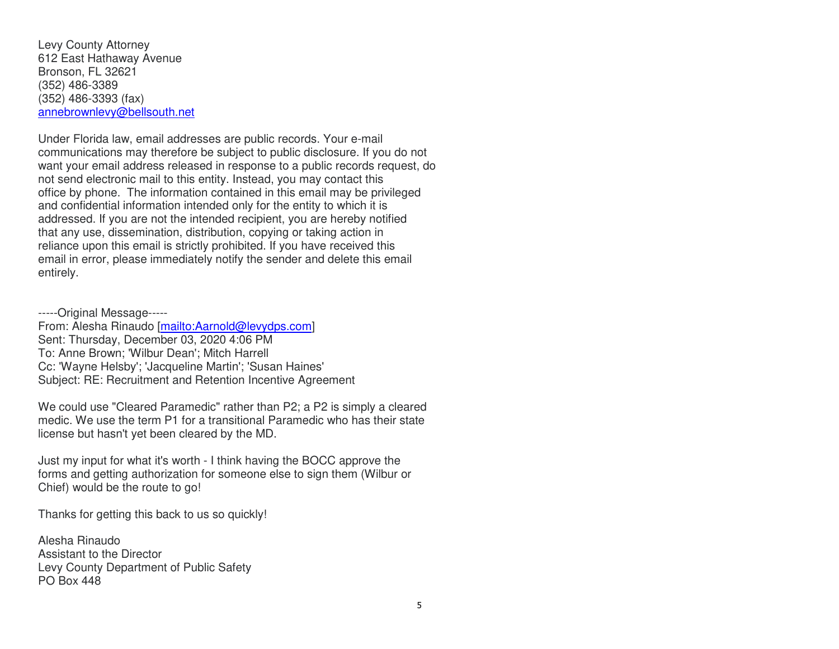Levy County Attorney 612 East Hathaway Avenue Bronson, FL 32621 (352) 486-3389 (352) 486-3393 (fax) annebrownlevy@bellsouth.net

Under Florida law, email addresses are public records. Your e-mail communications may therefore be subject to public disclosure. If you do not want your email address released in response to a public records request, do not send electronic mail to this entity. Instead, you may contact this office by phone. The information contained in this email may be privileged and confidential information intended only for the entity to which it is addressed. If you are not the intended recipient, you are hereby notified that any use, dissemination, distribution, copying or taking action in reliance upon this email is strictly prohibited. If you have received this email in error, please immediately notify the sender and delete this email entirely.

-----Original Message----- From: Alesha Rinaudo [mailto:Aarnold@levydps.com] Sent: Thursday, December 03, 2020 4:06 PM To: Anne Brown; 'Wilbur Dean'; Mitch Harrell Cc: 'Wayne Helsby'; 'Jacqueline Martin'; 'Susan Haines' Subject: RE: Recruitment and Retention Incentive Agreement

We could use "Cleared Paramedic" rather than P2; a P2 is simply a cleared medic. We use the term P1 for a transitional Paramedic who has their state license but hasn't yet been cleared by the MD.

Just my input for what it's worth - I think having the BOCC approve the forms and getting authorization for someone else to sign them (Wilbur or Chief) would be the route to go!

Thanks for getting this back to us so quickly!

Alesha Rinaudo Assistant to the Director Levy County Department of Public Safety PO Box 448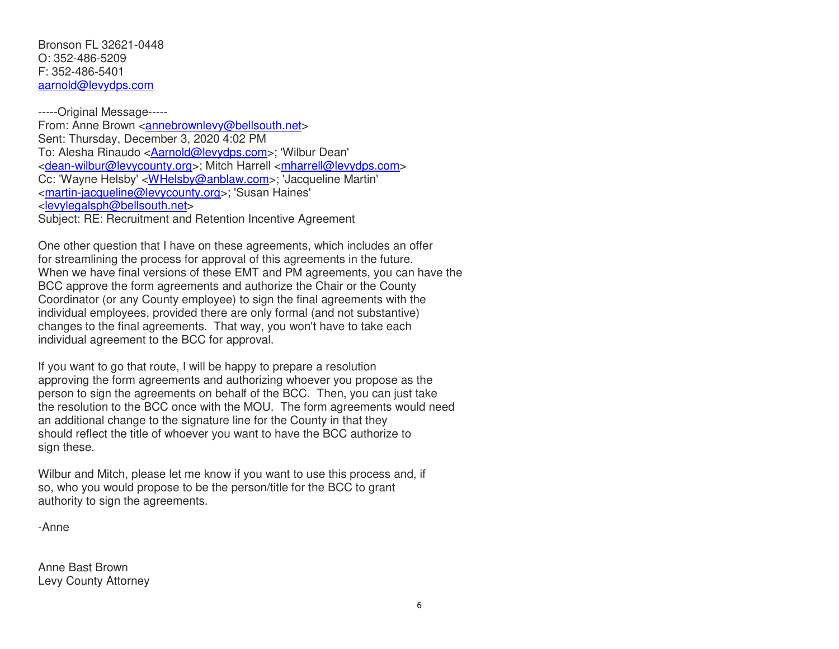Bronson FL 32621-0448 O: 352-486-5209 F: 352-486-5401 aarnold@levydps.com

-----Original Message----- From: Anne Brown <annebrownlevy@bellsouth.net> Sent: Thursday, December 3, 2020 4:02 PM To: Alesha Rinaudo <*Aarnold@levydps.com>*; 'Wilbur Dean' <dean-wilbur@levycounty.org>; Mitch Harrell <mharrell@levydps.com> Cc: 'Wayne Helsby' <WHelsby@anblaw.com>; 'Jacqueline Martin' <martin-jacqueline@levycounty.org>; 'Susan Haines' <levylegalsph@bellsouth.net> Subject: RE: Recruitment and Retention Incentive Agreement

One other question that I have on these agreements, which includes an offer for streamlining the process for approval of this agreements in the future. When we have final versions of these EMT and PM agreements, you can have the BCC approve the form agreements and authorize the Chair or the County Coordinator (or any County employee) to sign the final agreements with the individual employees, provided there are only formal (and not substantive) changes to the final agreements. That way, you won't have to take each individual agreement to the BCC for approval.

If you want to go that route, I will be happy to prepare a resolution approving the form agreements and authorizing whoever you propose as the person to sign the agreements on behalf of the BCC. Then, you can just take the resolution to the BCC once with the MOU. The form agreements would need an additional change to the signature line for the County in that they should reflect the title of whoever you want to have the BCC authorize to sign these.

Wilbur and Mitch, please let me know if you want to use this process and, if so, who you would propose to be the person/title for the BCC to grant authority to sign the agreements.

-Anne

Anne Bast Brown Levy County Attorney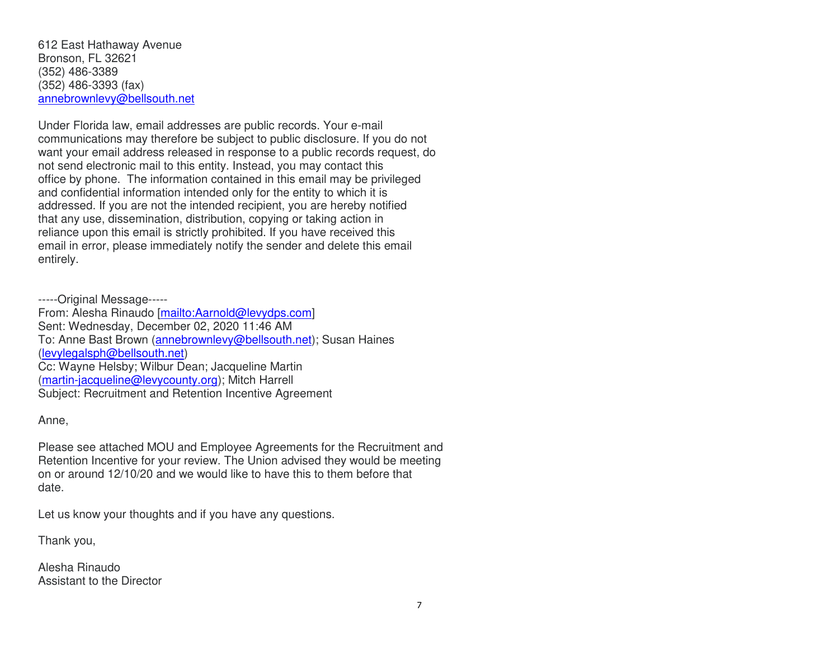612 East Hathaway Avenue Bronson, FL 32621 (352) 486-3389 (352) 486-3393 (fax) annebrownlevy@bellsouth.net

Under Florida law, email addresses are public records. Your e-mail communications may therefore be subject to public disclosure. If you do not want your email address released in response to a public records request, do not send electronic mail to this entity. Instead, you may contact this office by phone. The information contained in this email may be privileged and confidential information intended only for the entity to which it is addressed. If you are not the intended recipient, you are hereby notified that any use, dissemination, distribution, copying or taking action in reliance upon this email is strictly prohibited. If you have received this email in error, please immediately notify the sender and delete this email entirely.

-----Original Message----- From: Alesha Rinaudo [mailto:Aarnold@levydps.com] Sent: Wednesday, December 02, 2020 11:46 AM To: Anne Bast Brown (annebrownlevy@bellsouth.net); Susan Haines (levylegalsph@bellsouth.net) Cc: Wayne Helsby; Wilbur Dean; Jacqueline Martin (martin-jacqueline@levycounty.org); Mitch Harrell Subject: Recruitment and Retention Incentive Agreement

Anne,

Please see attached MOU and Employee Agreements for the Recruitment and Retention Incentive for your review. The Union advised they would be meeting on or around 12/10/20 and we would like to have this to them before that date.

Let us know your thoughts and if you have any questions.

Thank you,

Alesha Rinaudo Assistant to the Director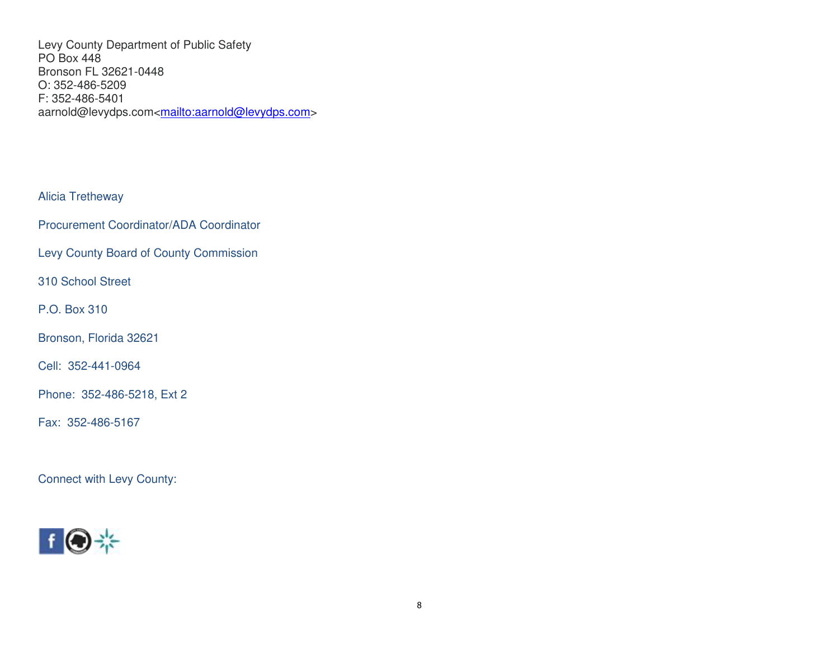Levy County Department of Public Safety PO Box 448 Bronson FL 32621-0448 O: 352-486-5209 F: 352-486-5401 aarnold@levydps.com<<u>mailto:aarnold@levydps.com</u>>

Alicia Tretheway

Procurement Coordinator/ADA Coordinator

Levy County Board of County Commission

310 School Street

P.O. Box 310

Bronson, Florida 32621

Cell: 352-441-0964

Phone: 352-486-5218, Ext 2

Fax: 352-486-5167

Connect with Levy County:

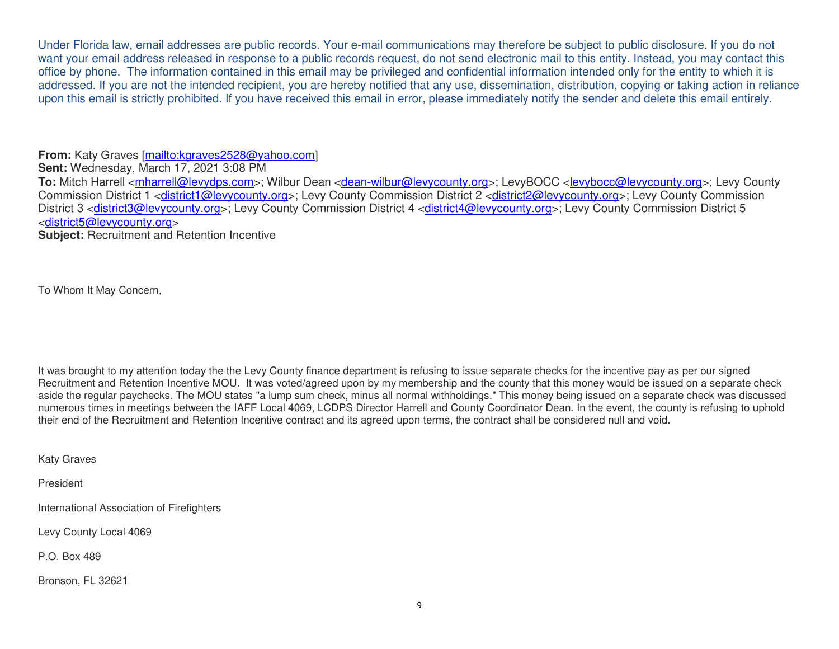Under Florida law, email addresses are public records. Your e-mail communications may therefore be subject to public disclosure. If you do not want your email address released in response to a public records request, do not send electronic mail to this entity. Instead, you may contact this office by phone. The information contained in this email may be privileged and confidential information intended only for the entity to which it is addressed. If you are not the intended recipient, you are hereby notified that any use, dissemination, distribution, copying or taking action in reliance upon this email is strictly prohibited. If you have received this email in error, please immediately notify the sender and delete this email entirely.

**From:** Katy Graves [mailto:kgraves2528@yahoo.com]

**Sent:** Wednesday, March 17, 2021 3:08 PM

To: Mitch Harrell <*mharrell@levydps.com>*; Wilbur Dean <*dean-wilbur@levycounty.org>*; LevyBOCC <levybocc@levycounty.org>; Levy County Commission District 1 <district1@levycounty.org>; Levy County Commission District 2 <district2@levycounty.org>; Levy County Commission District 3 <district3@levycounty.org>; Levy County Commission District 4 <district4@levycounty.org>; Levy County Commission District 5 <district5@levycounty.org>

**Subject:** Recruitment and Retention Incentive

To Whom It May Concern,

It was brought to my attention today the the Levy County finance department is refusing to issue separate checks for the incentive pay as per our signed Recruitment and Retention Incentive MOU. It was voted/agreed upon by my membership and the county that this money would be issued on a separate check aside the regular paychecks. The MOU states "a lump sum check, minus all normal withholdings." This money being issued on a separate check was discussed numerous times in meetings between the IAFF Local 4069, LCDPS Director Harrell and County Coordinator Dean. In the event, the county is refusing to uphold their end of the Recruitment and Retention Incentive contract and its agreed upon terms, the contract shall be considered null and void.

Katy Graves

President

International Association of Firefighters

Levy County Local 4069

P.O. Box 489

Bronson, FL 32621